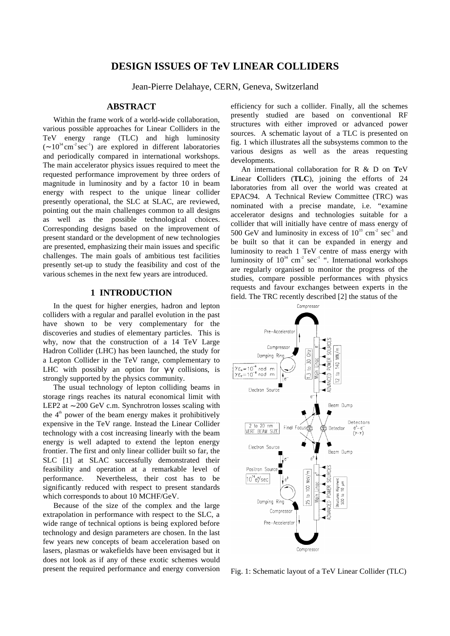# **DESIGN ISSUES OF TeV LINEAR COLLIDERS**

Jean-Pierre Delahaye, CERN, Geneva, Switzerland

## **ABSTRACT**

Within the frame work of a world-wide collaboration, various possible approaches for Linear Colliders in the TeV energy range (TLC) and high luminosity  $({\sim 10^{34} \text{ cm}^2 \text{ sec}^{-1}})$  are explored in different laboratories and periodically compared in international workshops. The main accelerator physics issues required to meet the requested performance improvement by three orders of magnitude in luminosity and by a factor 10 in beam energy with respect to the unique linear collider presently operational, the SLC at SLAC, are reviewed, pointing out the main challenges common to all designs as well as the possible technological choices. Corresponding designs based on the improvement of present standard or the development of new technologies are presented, emphasizing their main issues and specific challenges. The main goals of ambitious test facilities presently set-up to study the feasibility and cost of the various schemes in the next few years are introduced.

### **1 INTRODUCTION**

In the quest for higher energies, hadron and lepton colliders with a regular and parallel evolution in the past have shown to be very complementary for the discoveries and studies of elementary particles. This is why, now that the construction of a 14 TeV Large Hadron Collider (LHC) has been launched, the study for a Lepton Collider in the TeV range, complementary to LHC with possibly an option for  $\gamma$ - $\gamma$  collisions, is strongly supported by the physics community.

The usual technology of lepton colliding beams in storage rings reaches its natural economical limit with LEP2 at ∼ 200 GeV c.m. Synchrotron losses scaling with the  $4<sup>th</sup>$  power of the beam energy makes it prohibitively expensive in the TeV range. Instead the Linear Collider technology with a cost increasing linearly with the beam energy is well adapted to extend the lepton energy frontier. The first and only linear collider built so far, the SLC [1] at SLAC successfully demonstrated their feasibility and operation at a remarkable level of performance. Nevertheless, their cost has to be significantly reduced with respect to present standards which corresponds to about 10 MCHF/GeV.

Because of the size of the complex and the large extrapolation in performance with respect to the SLC, a wide range of technical options is being explored before technology and design parameters are chosen. In the last few years new concepts of beam acceleration based on lasers, plasmas or wakefields have been envisaged but it does not look as if any of these exotic schemes would present the required performance and energy conversion efficiency for such a collider. Finally, all the schemes presently studied are based on conventional RF structures with either improved or advanced power sources. A schematic layout of a TLC is presented on fig. 1 which illustrates all the subsystems common to the various designs as well as the areas requesting developments.

An international collaboration for R & D on **T**eV **L**inear **C**olliders (**TLC**), joining the efforts of 24 laboratories from all over the world was created at EPAC94. A Technical Review Committee (TRC) was nominated with a precise mandate, i.e. "examine accelerator designs and technologies suitable for a collider that will initially have centre of mass energy of 500 GeV and luminosity in excess of  $10^{33}$  cm<sup>-2</sup> sec<sup>-1</sup> and be built so that it can be expanded in energy and luminosity to reach 1 TeV centre of mass energy with luminosity of  $10^{34}$  cm<sup>-2</sup> sec<sup>-1</sup> ". International workshops are regularly organised to monitor the progress of the studies, compare possible performances with physics requests and favour exchanges between experts in the field. The TRC recently described [2] the status of the



Fig. 1: Schematic layout of a TeV Linear Collider (TLC)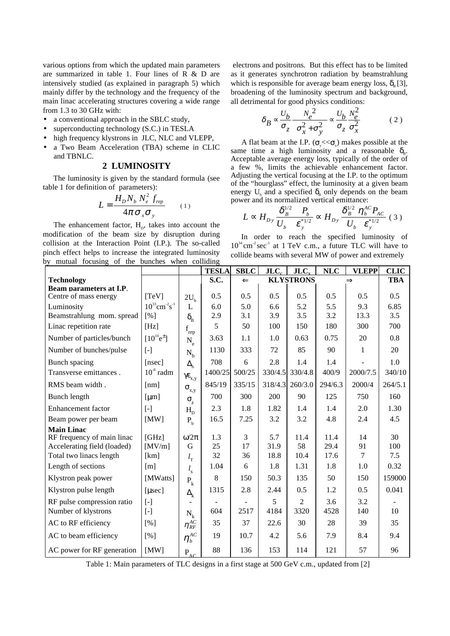various options from which the updated main parameters are summarized in table 1. Four lines of R & D are intensively studied (as explained in paragraph 5) which mainly differ by the technology and the frequency of the main linac accelerating structures covering a wide range from 1.3 to 30 GHz with:

- a conventional approach in the SBLC study,
- superconducting technology (S.C.) in TESLA
- high frequency klystrons in JLC, NLC and VLEPP,
- a Two Beam Acceleration (TBA) scheme in CLIC and TBNLC.

### **2 LUMINOSITY**

The luminosity is given by the standard formula (see table 1 for definition of parameters):

$$
L = \frac{H_D N_b N_e^2 f_{rep}}{4\pi \sigma_x \sigma_y} \qquad (1)
$$

The enhancement factor,  $H<sub>p</sub>$ , takes into account the modification of the beam size by disruption during collision at the Interaction Point (I.P.). The so-called pinch effect helps to increase the integrated luminosity by mutual focusing of the bunches when colliding

 electrons and positrons. But this effect has to be limited as it generates synchrotron radiation by beamstrahlung which is responsible for average beam energy loss,  $\delta_{\rm B}$  [3], broadening of the luminosity spectrum and background, all detrimental for good physics conditions:

$$
\delta_B \propto \frac{U_b}{\sigma_z} \frac{N_e^2}{\left(\sigma_x^2 + \sigma_y^2\right)} \propto \frac{U_b}{\sigma_z} \frac{N_e^2}{\sigma_x^2} \tag{2}
$$

A flat beam at the I.P. ( $\sigma_{\rm v} \ll \sigma_{\rm x}$ ) makes possible at the same time a high luminosity and a reasonable  $\delta_{\rm B}$ . Acceptable average energy loss, typically of the order of a few %, limits the achievable enhancement factor. Adjusting the vertical focusing at the I.P. to the optimum of the "hourglass" effect, the luminosity at a given beam energy  $U<sub>b</sub>$  and a specified  $\delta<sub>B</sub>$  only depends on the beam power and its normalized vertical emittance:

$$
L \propto H_{Dy} \frac{\delta_B^{1/2} \quad P_b}{U_b \quad \varepsilon_y^{*1/2}} \propto H_{Dy} \frac{\delta_B^{1/2} \ \eta_b^{AC} P_{AC}}{U_b \quad \varepsilon_y^{*1/2}} \ (3)
$$

In order to reach the specified luminosity of  $10^{34}$  cm<sup>-2</sup> sec<sup>-1</sup> at 1 TeV c.m., a future TLC will have to collide beams with several MW of power and extremely

|                             |                                                                                                                                                                                                                                   |                                     | <b>TESLA</b>   | <b>SBLC</b>  | $JLC_c$ | JLC <sub>x</sub> | $\bf NLC$ | <b>VLEPP</b>  | <b>CLIC</b>              |
|-----------------------------|-----------------------------------------------------------------------------------------------------------------------------------------------------------------------------------------------------------------------------------|-------------------------------------|----------------|--------------|---------|------------------|-----------|---------------|--------------------------|
| <b>Technology</b>           |                                                                                                                                                                                                                                   |                                     | S.C.           | $\Leftarrow$ |         | <b>KLYSTRONS</b> |           | $\Rightarrow$ | <b>TBA</b>               |
| Beam parameters at I.P.     |                                                                                                                                                                                                                                   |                                     |                |              |         |                  |           |               |                          |
| Centre of mass energy       | [TeV]                                                                                                                                                                                                                             | $2U_{h}$                            | 0.5            | 0.5          | 0.5     | 0.5              | 0.5       | 0.5           | 0.5                      |
| Luminosity                  | $10^{33}$ cm <sup>-2</sup> s <sup>-1</sup>                                                                                                                                                                                        | L                                   | 6.0            | 5.0          | 6.6     | 5.2              | 5.5       | 9.3           | 6.85                     |
| Beamstrahlung mom. spread   | [%]                                                                                                                                                                                                                               | $\delta_{\rm _B}$                   | 2.9            | 3.1          | 3.9     | 3.5              | 3.2       | 13.3          | 3.5                      |
| Linac repetition rate       | [Hz]                                                                                                                                                                                                                              | f<br>rep                            | 5              | 50           | 100     | 150              | 180       | 300           | 700                      |
| Number of particles/bunch   | $[10^{10}e^{\pm}]$                                                                                                                                                                                                                | $N_e$                               | 3.63           | 1.1          | 1.0     | 0.63             | 0.75      | 20            | 0.8                      |
| Number of bunches/pulse     | $[$                                                                                                                                                                                                                               | $N_{h}$                             | 1130           | 333          | 72      | 85               | 90        | $\mathbf{1}$  | 20                       |
| Bunch spacing               | [nsec]                                                                                                                                                                                                                            | $\Delta_{\rm b}$                    | 708            | 6            | 2.8     | 1.4              | 1.4       |               | 1.0                      |
| Transverse emittances.      | $10^{\degree}$ radm                                                                                                                                                                                                               | $\gamma \varepsilon_{x,y}$          | 1400/25        | 500/25       | 330/4.5 | 330/4.8          | 400/9     | 2000/7.5      | 340/10                   |
| RMS beam width.             | [nm]                                                                                                                                                                                                                              | $\sigma_{_{X,Y}}$                   | 845/19         | 335/15       | 318/4.3 | 260/3.0          | 294/6.3   | 2000/4        | 264/5.1                  |
| Bunch length                | [µm]                                                                                                                                                                                                                              | $\sigma_{\rm z}$                    | 700            | 300          | 200     | 90               | 125       | 750           | 160                      |
| <b>Enhancement</b> factor   | $\lceil - \rceil$                                                                                                                                                                                                                 | $H_{D}$                             | 2.3            | 1.8          | 1.82    | 1.4              | 1.4       | 2.0           | 1.30                     |
| Beam power per beam         | [MW]                                                                                                                                                                                                                              | $P_{b}$                             | 16.5           | 7.25         | 3.2     | 3.2              | 4.8       | 2.4           | 4.5                      |
| <b>Main Linac</b>           |                                                                                                                                                                                                                                   |                                     |                |              |         |                  |           |               |                          |
| RF frequency of main linac  | [GHz]                                                                                                                                                                                                                             | $\omega/2\pi$                       | 1.3            | 3            | 5.7     | 11.4             | 11.4      | 14            | 30                       |
| Accelerating field (loaded) | [MV/m]                                                                                                                                                                                                                            | G                                   | 25             | 17           | 31.9    | 58               | 29.4      | 91            | 100                      |
| Total two linacs length     | [km]                                                                                                                                                                                                                              | $l_{\rm T}$                         | 32             | 36           | 18.8    | 10.4             | 17.6      | $\tau$        | 7.5                      |
| Length of sections          | $\lceil m \rceil$                                                                                                                                                                                                                 | $l_{\rm s}$                         | 1.04           | 6            | 1.8     | 1.31             | 1.8       | 1.0           | 0.32                     |
| Klystron peak power         | [MWatts]                                                                                                                                                                                                                          | $\mathbf{P}_{\mathbf{k}}$           | 8              | 150          | 50.3    | 135              | 50        | 150           | 159000                   |
| Klystron pulse length       | [usec]                                                                                                                                                                                                                            | $\Delta_{\bf k}$                    | 1315           | 2.8          | 2.44    | 0.5              | 1.2       | 0.5           | 0.041                    |
| RF pulse compression ratio  | $[\cdot]$                                                                                                                                                                                                                         |                                     | $\blacksquare$ |              | 5       | $\overline{2}$   | 3.6       | 3.2           | $\overline{\phantom{a}}$ |
| Number of klystrons         | $\left[ -\right] % \includegraphics[width=0.9\columnwidth]{figures/fig_10.pdf} \caption{The number of parameters of the estimators in the left and right. The number of parameters are shown in the right.} \label{fig:fig:time}$ | $N_k$                               | 604            | 2517         | 4184    | 3320             | 4528      | 140           | 10                       |
| AC to RF efficiency         | [%]                                                                                                                                                                                                                               | $\eta_{\mathit{RF}}^{\mathit{AC}}$  | 35             | 37           | 22.6    | 30               | 28        | 39            | 35                       |
| AC to beam efficiency       | [%]                                                                                                                                                                                                                               | $\eta_b^{AC}$                       | 19             | 10.7         | 4.2     | 5.6              | 7.9       | 8.4           | 9.4                      |
| AC power for RF generation  | [MW]                                                                                                                                                                                                                              | $\mathbf{P}_{\mathrm{A}\mathrm{C}}$ | 88             | 136          | 153     | 114              | 121       | 57            | 96                       |

Table 1: Main parameters of TLC designs in a first stage at 500 GeV c.m., updated from [2]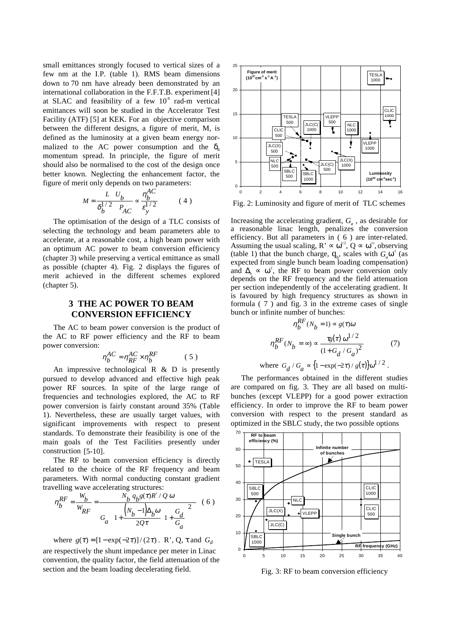small emittances strongly focused to vertical sizes of a few nm at the I.P. (table 1). RMS beam dimensions down to 70 nm have already been demonstrated by an international collaboration in the F.F.T.B. experiment [4] at SLAC and feasibility of a few  $10<sup>8</sup>$  rad-m vertical emittances will soon be studied in the Accelerator Test Facility (ATF) [5] at KEK. For an objective comparison between the different designs, a figure of merit, M, is defined as the luminosity at a given beam energy normalized to the AC power consumption and the  $\delta_{\rm B}$ momentum spread. In principle, the figure of merit should also be normalised to the cost of the design once better known. Neglecting the enhancement factor, the figure of merit only depends on two parameters:

$$
M = \frac{L U_b}{\delta_b^{1/2} P_{AC}} \propto \frac{\eta_b^{AC}}{\varepsilon_y^{1/2}}
$$
 (4)

The optimisation of the design of a TLC consists of selecting the technology and beam parameters able to accelerate, at a reasonable cost, a high beam power with an optimum AC power to beam conversion efficiency (chapter 3) while preserving a vertical emittance as small as possible (chapter 4). Fig. 2 displays the figures of merit achieved in the different schemes explored (chapter 5).

## **3 THE AC POWER TO BEAM CONVERSION EFFICIENCY**

The AC to beam power conversion is the product of the AC to RF power efficiency and the RF to beam power conversion:

$$
\eta_b^{AC} = \eta_{RF}^{AC} \times \eta_b^{RF} \tag{5}
$$

An impressive technological  $R \& D$  is presently pursued to develop advanced and effective high peak power RF sources. In spite of the large range of frequencies and technologies explored, the AC to RF power conversion is fairly constant around 35% (Table 1). Nevertheless, these are usually target values, with significant improvements with respect to present standards. To demonstrate their feasibility is one of the main goals of the Test Facilities presently under construction [5-10].

The RF to beam conversion efficiency is directly related to the choice of the RF frequency and beam parameters. With normal conducting constant gradient travelling wave accelerating structures:

$$
\eta_{b}^{RF} = \frac{W_{b}}{W_{RF}} = \frac{N_{b} q_{b} g(\tau) R' / Q \omega}{G_{a} \left\{ 1 + \frac{\left(N_{b} - 1\right) \Delta_{b} \omega}{2Q \tau} \left( 1 + \frac{G_{d}}{G_{a}} \right)^{2} \right\}} (6)
$$

where  $g(\tau) = [1 - \exp(-2\tau)] / (2\tau)$ . R', Q,  $\tau$  and  $G_d$ are respectively the shunt impedance per meter in Linac convention, the quality factor, the field attenuation of the section and the beam loading decelerating field.



Fig. 2: Luminosity and figure of merit of TLC schemes

Increasing the accelerating gradient,  $G_a$ , as desirable for a reasonable linac length, penalizes the conversion efficiency. But all parameters in ( 6 ) are inter-related. Assuming the usual scaling,  $R' \propto \omega^{1/2}$ ,  $Q \propto \omega^{1/2}$ , observing (table 1) that the bunch charge,  $q_{\rm b}$ , scales with  $G_a\omega^1$  (as expected from single bunch beam loading compensation) and  $\Delta_{\rm b} \propto \omega^1$ , the RF to beam power conversion only depends on the RF frequency and the field attenuation per section independently of the accelerating gradient. It is favoured by high frequency structures as shown in formula ( 7 ) and fig. 3 in the extreme cases of single bunch or infinite number of bunches:

$$
\eta_b^{RF}(N_b = 1) \propto g(\tau)\omega
$$

$$
\eta_b^{RF}(N_b = \infty) \propto \frac{\tau_g(\tau) \omega^{1/2}}{(1 + G_d / G_a)^2}
$$
(7)

where 
$$
G_d / G_a \propto \{1 - \exp(-2\tau) / g(\tau)\}\omega^{1/2}
$$
.

The performances obtained in the different studies are compared on fig. 3. They are all based on multibunches (except VLEPP) for a good power extraction efficiency. In order to improve the RF to beam power conversion with respect to the present standard as optimized in the SBLC study, the two possible options



Fig. 3: RF to beam conversion efficiency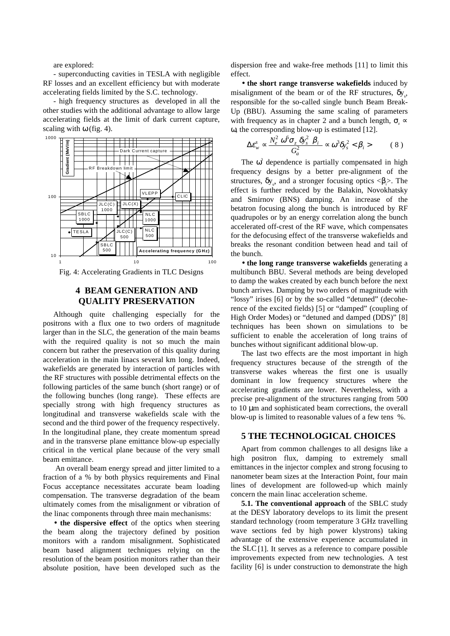are explored:

- superconducting cavities in TESLA with negligible RF losses and an excellent efficiency but with moderate accelerating fields limited by the S.C. technology.

- high frequency structures as developed in all the other studies with the additional advantage to allow large accelerating fields at the limit of dark current capture, scaling with  $\omega$  (fig. 4).



Fig. 4: Accelerating Gradients in TLC Designs

## **4 BEAM GENERATION AND QUALITY PRESERVATION**

Although quite challenging especially for the positrons with a flux one to two orders of magnitude larger than in the SLC, the generation of the main beams with the required quality is not so much the main concern but rather the preservation of this quality during acceleration in the main linacs several km long. Indeed, wakefields are generated by interaction of particles with the RF structures with possible detrimental effects on the following particles of the same bunch (short range) or of the following bunches (long range). These effects are specially strong with high frequency structures as longitudinal and transverse wakefields scale with the second and the third power of the frequency respectively. In the longitudinal plane, they create momentum spread and in the transverse plane emittance blow-up especially critical in the vertical plane because of the very small beam emittance.

 An overall beam energy spread and jitter limited to a fraction of a % by both physics requirements and Final Focus acceptance necessitates accurate beam loading compensation. The transverse degradation of the beam ultimately comes from the misalignment or vibration of the linac components through three main mechanisms:

• **the dispersive effect** of the optics when steering the beam along the trajectory defined by position monitors with a random misalignment. Sophisticated beam based alignment techniques relying on the resolution of the beam position monitors rather than their absolute position, have been developed such as the dispersion free and wake-free methods [11] to limit this effect.

• **the short range transverse wakefields** induced by misalignment of the beam or of the RF structures,  $\delta y_s$ , responsible for the so-called single bunch Beam Break-Up (BBU). Assuming the same scaling of parameters with frequency as in chapter 2 and a bunch length,  $\sigma \propto$ ω, the corresponding blow-up is estimated [12].

$$
\Delta \varepsilon_{w}^{s} \propto \frac{N_{e}^{2} \omega^{6} \sigma_{z} \delta y_{s}^{2} \langle \beta_{i} \rangle}{G_{a}^{2}} \propto \omega^{3} \delta y_{s}^{2} < \beta_{i} > \qquad (8)
$$

The  $\omega^3$  dependence is partially compensated in high frequency designs by a better pre-alignment of the structures,  $\delta y_s$ , and a stronger focusing optics < $\beta_i$ >. The effect is further reduced by the Balakin, Novokhatsky and Smirnov (BNS) damping. An increase of the betatron focusing along the bunch is introduced by RF quadrupoles or by an energy correlation along the bunch accelerated off-crest of the RF wave, which compensates for the defocusing effect of the transverse wakefields and breaks the resonant condition between head and tail of the bunch.

• **the long range transverse wakefields** generating a multibunch BBU. Several methods are being developed to damp the wakes created by each bunch before the next bunch arrives. Damping by two orders of magnitude with "lossy" irises [6] or by the so-called "detuned" (decoherence of the excited fields) [5] or "damped" (coupling of High Order Modes) or "detuned and damped (DDS)" [8] techniques has been shown on simulations to be sufficient to enable the acceleration of long trains of bunches without significant additional blow-up.

The last two effects are the most important in high frequency structures because of the strength of the transverse wakes whereas the first one is usually dominant in low frequency structures where the accelerating gradients are lower. Nevertheless, with a precise pre-alignment of the structures ranging from 500 to 10 µm and sophisticated beam corrections, the overall blow-up is limited to reasonable values of a few tens %.

#### **5 THE TECHNOLOGICAL CHOICES**

Apart from common challenges to all designs like a high positron flux, damping to extremely small emittances in the injector complex and strong focusing to nanometer beam sizes at the Interaction Point, four main lines of development are followed-up which mainly concern the main linac acceleration scheme.

**5.1. The conventional approach** of the SBLC study at the DESY laboratory develops to its limit the present standard technology (room temperature 3 GHz travelling wave sections fed by high power klystrons) taking advantage of the extensive experience accumulated in the SLC[1]. It serves as a reference to compare possible improvements expected from new technologies. A test facility [6] is under construction to demonstrate the high